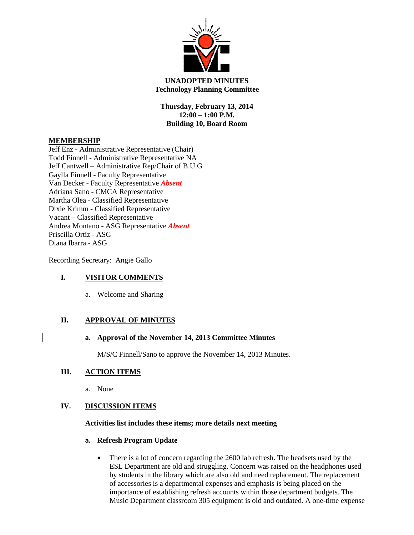

# **UNADOPTED MINUTES Technology Planning Committee**

**Thursday, February 13, 2014 12:00 – 1:00 P.M. Building 10, Board Room**

# **MEMBERSHIP**

Jeff Enz - Administrative Representative (Chair) Todd Finnell - Administrative Representative NA Jeff Cantwell – Administrative Rep/Chair of B.U.G Gaylla Finnell - Faculty Representative Van Decker - Faculty Representative *Absent* Adriana Sano - CMCA Representative Martha Olea - Classified Representative Dixie Krimm - Classified Representative Vacant – Classified Representative Andrea Montano - ASG Representative *Absent* Priscilla Ortiz - ASG Diana Ibarra - ASG

Recording Secretary: Angie Gallo

## **I. VISITOR COMMENTS**

a. Welcome and Sharing

## **II. APPROVAL OF MINUTES**

#### **a. Approval of the November 14, 2013 Committee Minutes**

M/S/C Finnell/Sano to approve the November 14, 2013 Minutes.

# **III. ACTION ITEMS**

a. None

## **IV. DISCUSSION ITEMS**

#### **Activities list includes these items; more details next meeting**

## **a. Refresh Program Update**

• There is a lot of concern regarding the 2600 lab refresh. The headsets used by the ESL Department are old and struggling. Concern was raised on the headphones used by students in the library which are also old and need replacement. The replacement of accessories is a departmental expenses and emphasis is being placed on the importance of establishing refresh accounts within those department budgets. The Music Department classroom 305 equipment is old and outdated. A one-time expense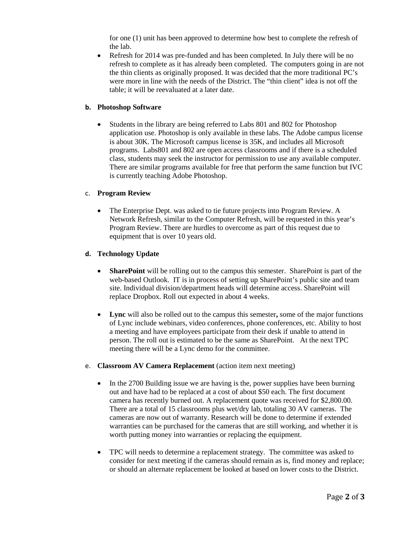for one (1) unit has been approved to determine how best to complete the refresh of the lab.

• Refresh for 2014 was pre-funded and has been completed. In July there will be no refresh to complete as it has already been completed. The computers going in are not the thin clients as originally proposed. It was decided that the more traditional PC's were more in line with the needs of the District. The "thin client" idea is not off the table; it will be reevaluated at a later date.

## **b. Photoshop Software**

• Students in the library are being referred to Labs 801 and 802 for Photoshop application use. Photoshop is only available in these labs. The Adobe campus license is about 30K. The Microsoft campus license is 35K, and includes all Microsoft programs. Labs801 and 802 are open access classrooms and if there is a scheduled class, students may seek the instructor for permission to use any available computer. There are similar programs available for free that perform the same function but IVC is currently teaching Adobe Photoshop.

# c. **Program Review**

• The Enterprise Dept. was asked to tie future projects into Program Review. A Network Refresh, similar to the Computer Refresh, will be requested in this year's Program Review. There are hurdles to overcome as part of this request due to equipment that is over 10 years old.

# **d. Technology Update**

- **SharePoint** will be rolling out to the campus this semester. SharePoint is part of the web-based Outlook. IT is in process of setting up SharePoint's public site and team site. Individual division/department heads will determine access. SharePoint will replace Dropbox. Roll out expected in about 4 weeks.
- **Lync** will also be rolled out to the campus this semester**,** some of the major functions of Lync include webinars, video conferences, phone conferences, etc. Ability to host a meeting and have employees participate from their desk if unable to attend in person. The roll out is estimated to be the same as SharePoint. At the next TPC meeting there will be a Lync demo for the committee.
- e. **Classroom AV Camera Replacement** (action item next meeting)
	- In the 2700 Building issue we are having is the, power supplies have been burning out and have had to be replaced at a cost of about \$50 each. The first document camera has recently burned out. A replacement quote was received for \$2,800.00. There are a total of 15 classrooms plus wet/dry lab, totaling 30 AV cameras. The cameras are now out of warranty. Research will be done to determine if extended warranties can be purchased for the cameras that are still working, and whether it is worth putting money into warranties or replacing the equipment.
	- TPC will needs to determine a replacement strategy. The committee was asked to consider for next meeting if the cameras should remain as is, find money and replace; or should an alternate replacement be looked at based on lower costs to the District.